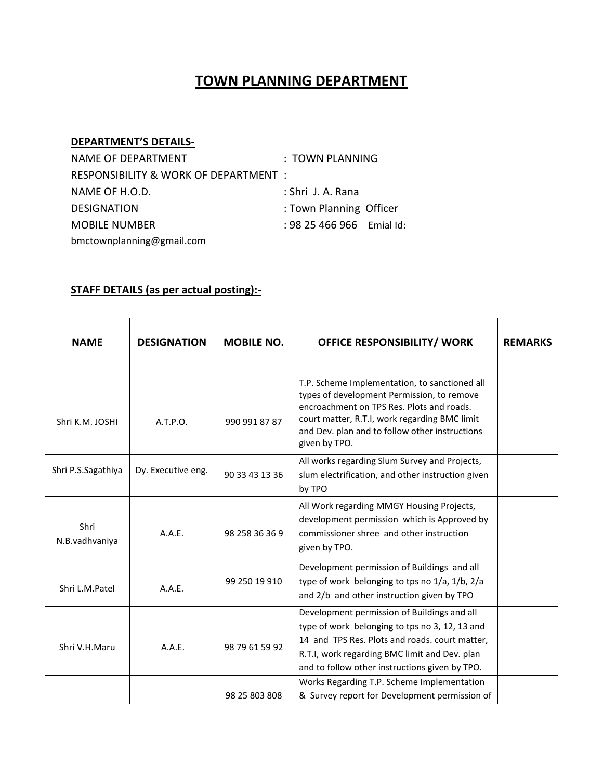## **TOWN PLANNING DEPARTMENT**

## **DEPARTMENT'S DETAILS-**

| NAME OF DEPARTMENT                    | : TOWN PLANNING          |  |
|---------------------------------------|--------------------------|--|
| RESPONSIBILITY & WORK OF DEPARTMENT : |                          |  |
| NAME OF H.O.D.                        | : Shri J. A. Rana        |  |
| <b>DESIGNATION</b>                    | : Town Planning Officer  |  |
| <b>MOBILE NUMBER</b>                  | $: 9825466966$ Emial Id: |  |
| bmctownplanning@gmail.com             |                          |  |

## **STAFF DETAILS (as per actual posting):-**

| <b>NAME</b>            | <b>DESIGNATION</b> | <b>MOBILE NO.</b> | <b>OFFICE RESPONSIBILITY/ WORK</b>                                                                                                                                                                                                                           | <b>REMARKS</b> |
|------------------------|--------------------|-------------------|--------------------------------------------------------------------------------------------------------------------------------------------------------------------------------------------------------------------------------------------------------------|----------------|
| Shri K.M. JOSHI        | A.T.P.O.           | 990 991 87 87     | T.P. Scheme Implementation, to sanctioned all<br>types of development Permission, to remove<br>encroachment on TPS Res. Plots and roads.<br>court matter, R.T.I, work regarding BMC limit<br>and Dev. plan and to follow other instructions<br>given by TPO. |                |
| Shri P.S.Sagathiya     | Dy. Executive eng. | 90 33 43 13 36    | All works regarding Slum Survey and Projects,<br>slum electrification, and other instruction given<br>by TPO                                                                                                                                                 |                |
| Shri<br>N.B.vadhvaniya | A.A.E.             | 98 258 36 36 9    | All Work regarding MMGY Housing Projects,<br>development permission which is Approved by<br>commissioner shree and other instruction<br>given by TPO.                                                                                                        |                |
| Shri L.M.Patel         | A.A.E.             | 99 250 19 910     | Development permission of Buildings and all<br>type of work belonging to tps no 1/a, 1/b, 2/a<br>and 2/b and other instruction given by TPO                                                                                                                  |                |
| Shri V.H.Maru          | A.A.E.             | 98 79 61 59 92    | Development permission of Buildings and all<br>type of work belonging to tps no 3, 12, 13 and<br>14 and TPS Res. Plots and roads. court matter,<br>R.T.I, work regarding BMC limit and Dev. plan<br>and to follow other instructions given by TPO.           |                |
|                        |                    | 98 25 803 808     | Works Regarding T.P. Scheme Implementation<br>& Survey report for Development permission of                                                                                                                                                                  |                |